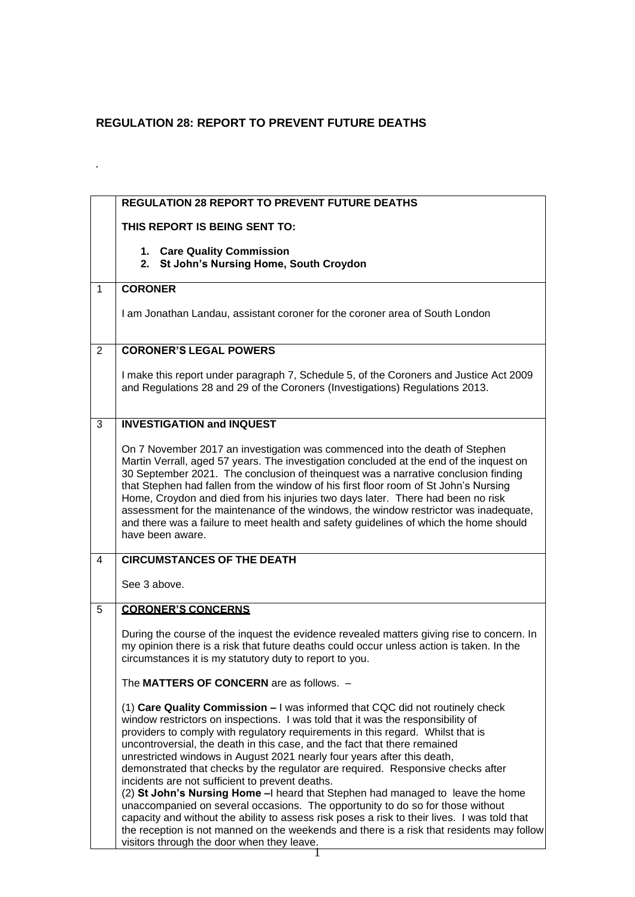## **REGULATION 28: REPORT TO PREVENT FUTURE DEATHS**

*.*

|              | <b>REGULATION 28 REPORT TO PREVENT FUTURE DEATHS</b>                                                                                                                                                                                                                                                                                                                                                                                                                                                                                                                                                                                                                                                                                                                                                                                                                                                                                                              |
|--------------|-------------------------------------------------------------------------------------------------------------------------------------------------------------------------------------------------------------------------------------------------------------------------------------------------------------------------------------------------------------------------------------------------------------------------------------------------------------------------------------------------------------------------------------------------------------------------------------------------------------------------------------------------------------------------------------------------------------------------------------------------------------------------------------------------------------------------------------------------------------------------------------------------------------------------------------------------------------------|
|              | THIS REPORT IS BEING SENT TO:                                                                                                                                                                                                                                                                                                                                                                                                                                                                                                                                                                                                                                                                                                                                                                                                                                                                                                                                     |
|              | 1. Care Quality Commission<br>St John's Nursing Home, South Croydon<br>2.                                                                                                                                                                                                                                                                                                                                                                                                                                                                                                                                                                                                                                                                                                                                                                                                                                                                                         |
| $\mathbf{1}$ | <b>CORONER</b>                                                                                                                                                                                                                                                                                                                                                                                                                                                                                                                                                                                                                                                                                                                                                                                                                                                                                                                                                    |
|              | I am Jonathan Landau, assistant coroner for the coroner area of South London                                                                                                                                                                                                                                                                                                                                                                                                                                                                                                                                                                                                                                                                                                                                                                                                                                                                                      |
| 2            | <b>CORONER'S LEGAL POWERS</b>                                                                                                                                                                                                                                                                                                                                                                                                                                                                                                                                                                                                                                                                                                                                                                                                                                                                                                                                     |
|              | I make this report under paragraph 7, Schedule 5, of the Coroners and Justice Act 2009<br>and Regulations 28 and 29 of the Coroners (Investigations) Regulations 2013.                                                                                                                                                                                                                                                                                                                                                                                                                                                                                                                                                                                                                                                                                                                                                                                            |
| 3            | <b>INVESTIGATION and INQUEST</b>                                                                                                                                                                                                                                                                                                                                                                                                                                                                                                                                                                                                                                                                                                                                                                                                                                                                                                                                  |
|              | On 7 November 2017 an investigation was commenced into the death of Stephen<br>Martin Verrall, aged 57 years. The investigation concluded at the end of the inquest on<br>30 September 2021. The conclusion of theinquest was a narrative conclusion finding<br>that Stephen had fallen from the window of his first floor room of St John's Nursing<br>Home, Croydon and died from his injuries two days later. There had been no risk<br>assessment for the maintenance of the windows, the window restrictor was inadequate,<br>and there was a failure to meet health and safety guidelines of which the home should<br>have been aware.                                                                                                                                                                                                                                                                                                                      |
| 4            | <b>CIRCUMSTANCES OF THE DEATH</b>                                                                                                                                                                                                                                                                                                                                                                                                                                                                                                                                                                                                                                                                                                                                                                                                                                                                                                                                 |
|              | See 3 above.                                                                                                                                                                                                                                                                                                                                                                                                                                                                                                                                                                                                                                                                                                                                                                                                                                                                                                                                                      |
| 5            | <b>CORONER'S CONCERNS</b>                                                                                                                                                                                                                                                                                                                                                                                                                                                                                                                                                                                                                                                                                                                                                                                                                                                                                                                                         |
|              | During the course of the inquest the evidence revealed matters giving rise to concern. In<br>my opinion there is a risk that future deaths could occur unless action is taken. In the<br>circumstances it is my statutory duty to report to you.                                                                                                                                                                                                                                                                                                                                                                                                                                                                                                                                                                                                                                                                                                                  |
|              | The MATTERS OF CONCERN are as follows. -                                                                                                                                                                                                                                                                                                                                                                                                                                                                                                                                                                                                                                                                                                                                                                                                                                                                                                                          |
|              | (1) Care Quality Commission - I was informed that CQC did not routinely check<br>window restrictors on inspections. I was told that it was the responsibility of<br>providers to comply with regulatory requirements in this regard. Whilst that is<br>uncontroversial, the death in this case, and the fact that there remained<br>unrestricted windows in August 2021 nearly four years after this death,<br>demonstrated that checks by the regulator are required. Responsive checks after<br>incidents are not sufficient to prevent deaths.<br>(2) St John's Nursing Home - I heard that Stephen had managed to leave the home<br>unaccompanied on several occasions. The opportunity to do so for those without<br>capacity and without the ability to assess risk poses a risk to their lives. I was told that<br>the reception is not manned on the weekends and there is a risk that residents may follow<br>visitors through the door when they leave. |